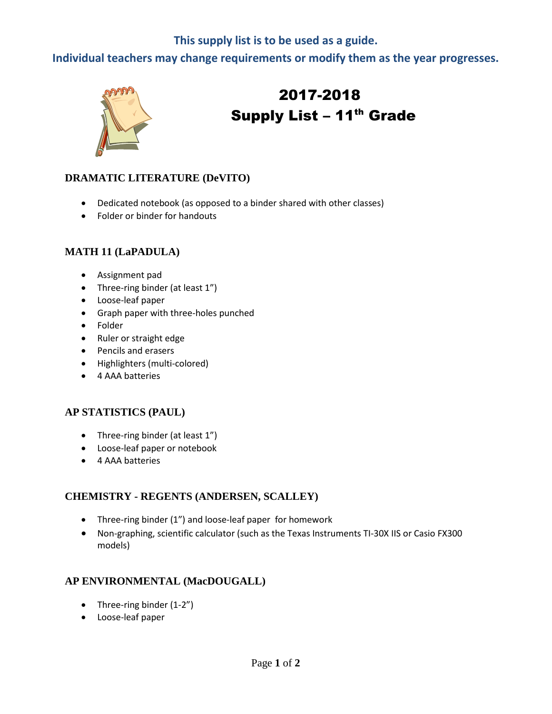## **This supply list is to be used as a guide.**

**Individual teachers may change requirements or modify them as the year progresses.**



# 2017-2018 Supply List - 11<sup>th</sup> Grade

## **DRAMATIC LITERATURE (DeVITO)**

- Dedicated notebook (as opposed to a binder shared with other classes)
- Folder or binder for handouts

#### **MATH 11 (LaPADULA)**

- Assignment pad
- Three-ring binder (at least 1")
- Loose-leaf paper
- Graph paper with three-holes punched
- Folder
- Ruler or straight edge
- Pencils and erasers
- Highlighters (multi-colored)
- 4 AAA batteries

#### **AP STATISTICS (PAUL)**

- Three-ring binder (at least 1")
- Loose-leaf paper or notebook
- 4 AAA batteries

#### **CHEMISTRY - REGENTS (ANDERSEN, SCALLEY)**

- Three-ring binder (1") and loose-leaf paper for homework
- Non-graphing, scientific calculator (such as the Texas Instruments TI-30X IIS or Casio FX300 models)

#### **AP ENVIRONMENTAL (MacDOUGALL)**

- Three-ring binder (1-2")
- Loose-leaf paper